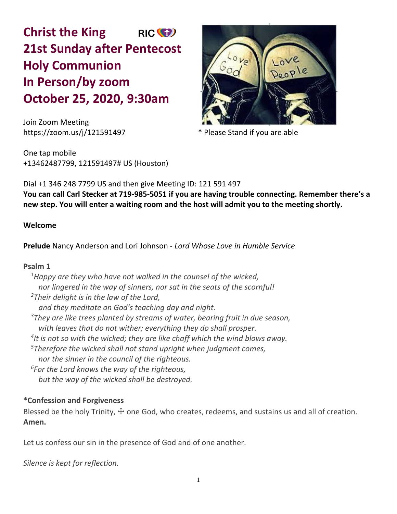**Christ the King** RIC<sup>(C</sup>) **21st Sunday after Pentecost Holy Communion In Person/by zoom October 25, 2020, 9:30am**

Join Zoom Meeting https://zoom.us/j/121591497 \* Please Stand if you are able

One tap mobile +13462487799, 121591497# US (Houston)



Dial +1 346 248 7799 US and then give Meeting ID: 121 591 497 **You can call Carl Stecker at 719-985-5051 if you are having trouble connecting. Remember there's a new step. You will enter a waiting room and the host will admit you to the meeting shortly.** 

# **Welcome**

**Prelude** Nancy Anderson and Lori Johnson - *Lord Whose Love in Humble Service*

# **Psalm 1**

*<sup>1</sup>Happy are they who have not walked in the counsel of the wicked, nor lingered in the way of sinners, nor sat in the seats of the scornful! <sup>2</sup>Their delight is in the law of the Lord, and they meditate on God's teaching day and night. <sup>3</sup>They are like trees planted by streams of water, bearing fruit in due season, with leaves that do not wither; everything they do shall prosper. 4 It is not so with the wicked; they are like chaff which the wind blows away. <sup>5</sup>Therefore the wicked shall not stand upright when judgment comes, nor the sinner in the council of the righteous. 6 For the Lord knows the way of the righteous, but the way of the wicked shall be destroyed.*

# **\*Confession and Forgiveness**

Blessed be the holy Trinity,  $\pm$  one God, who creates, redeems, and sustains us and all of creation. **Amen.**

Let us confess our sin in the presence of God and of one another.

*Silence is kept for reflection.*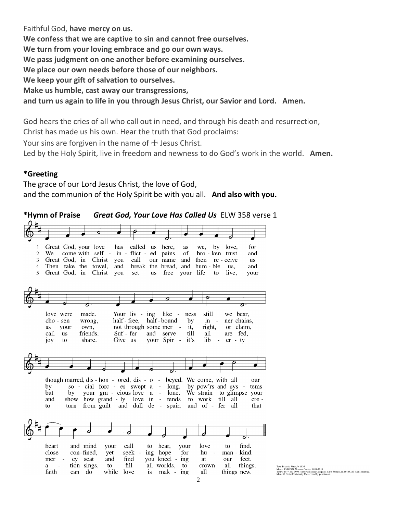Faithful God, **have mercy on us. We confess that we are captive to sin and cannot free ourselves. We turn from your loving embrace and go our own ways. We pass judgment on one another before examining ourselves. We place our own needs before those of our neighbors. We keep your gift of salvation to ourselves. Make us humble, cast away our transgressions, and turn us again to life in you through Jesus Christ, our Savior and Lord. Amen.**

God hears the cries of all who call out in need, and through his death and resurrection, Christ has made us his own. Hear the truth that God proclaims:

Your sins are forgiven in the name of  $\pm$  Jesus Christ.

Led by the Holy Spirit, live in freedom and newness to do God's work in the world. **Amen.**

## **\*Greeting**

The grace of our Lord Jesus Christ, the love of God, and the communion of the Holy Spirit be with you all. **And also with you.**

**\*Hymn of Praise** *Great God, Your Love Has Called Us* ELW 358 verse 1we, by love, Great God, your love has called us here, for  $\mathbf{1}$ **as** We come with self flict - ed and  $\overline{2}$  $in$ pains of bro - ken trust Great God, in Christ 3 you call our name and then re - ceive **us**  $\overline{4}$ Then take the towel, and break the bread, and  $hum - ble$  us, and Great God, in Christ you live, set **us** free your life to your d still love were made. Your liv - ing like ness we hear. cho - sen wrong, half - free, half - bound by ner chains,  $in$ **as** your own, not through some mer it, right, or claim, call us friends. Suf - fer and serve till all are fed, Give us your Spir - it's joy to share. lib  $\sim$  $er - ty$ beyed. We come, with all though marred, dis - hon - ored, dis -  $\circ$  our so - cial forc - es swept a by long, by pow'rs and sys  $\sim$ tems by your gra - cious love a - lone. but We strain to glimpse your and show how grand - ly love in - tends to work till all cre turn from guilt and dull de - spair, and of - fer all that to your your heart and mind call hear, find. to love  $\mathsf{to}$ yet close con-fined, seek ing hope for  $hu$ man kind. mer  $cy$ seat and find you kneel - ing at our feet. a tion sings, to fill all worlds, to crown all things. faith while love mak - ing all can do  $1S$ things new.

Text: Brian A. Wren, b. 1936<br>Music: RYBURN. Norman Cocker, 1889–1953<br>Text © 1977, rev. 1995 Hope Publishing Company, Carol Stream, IL 60188. All rights reserved.<br>Music: © Oxford University Press. Used by permission.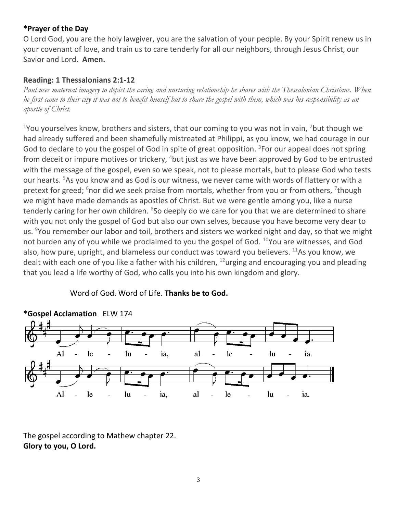# **\*Prayer of the Day**

O Lord God, you are the holy lawgiver, you are the salvation of your people. By your Spirit renew us in your covenant of love, and train us to care tenderly for all our neighbors, through Jesus Christ, our Savior and Lord. **Amen.**

# **Reading: 1 Thessalonians 2:1-12**

*Paul uses maternal imagery to depict the caring and nurturing relationship he shares with the Thessalonian Christians. When he first came to their city it was not to benefit himself but to share the gospel with them, which was his responsibility as an apostle of Christ.*

<sup>1</sup>You yourselves know, brothers and sisters, that our coming to you was not in vain, <sup>2</sup>but though we had already suffered and been shamefully mistreated at Philippi, as you know, we had courage in our God to declare to you the gospel of God in spite of great opposition.  $3$ For our appeal does not spring from deceit or impure motives or trickery, <sup>4</sup>but just as we have been approved by God to be entrusted with the message of the gospel, even so we speak, not to please mortals, but to please God who tests our hearts. <sup>5</sup>As you know and as God is our witness, we never came with words of flattery or with a pretext for greed; <sup>6</sup>nor did we seek praise from mortals, whether from you or from others, <sup>7</sup>though we might have made demands as apostles of Christ. But we were gentle among you, like a nurse tenderly caring for her own children. <sup>8</sup>So deeply do we care for you that we are determined to share with you not only the gospel of God but also our own selves, because you have become very dear to us. <sup>9</sup>You remember our labor and toil, brothers and sisters we worked night and day, so that we might not burden any of you while we proclaimed to you the gospel of God. <sup>10</sup>You are witnesses, and God also, how pure, upright, and blameless our conduct was toward you believers.  $^{11}$ As you know, we dealt with each one of you like a father with his children,  $^{12}$ urging and encouraging you and pleading that you lead a life worthy of God, who calls you into his own kingdom and glory.





The gospel according to Mathew chapter 22. **Glory to you, O Lord.**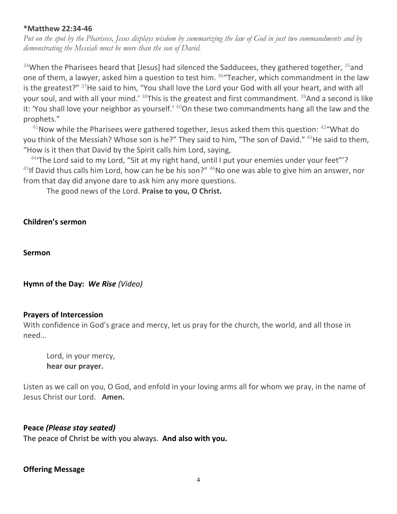## **\*Matthew 22:34-46**

*Put on the spot by the Pharisees, Jesus displays wisdom by summarizing the law of God in just two commandments and by demonstrating the Messiah must be more than the son of David.*

 $34$ When the Pharisees heard that [Jesus] had silenced the Sadducees, they gathered together,  $35$  and one of them, a lawyer, asked him a question to test him. <sup>36</sup> "Teacher, which commandment in the law is the greatest?" <sup>37</sup>He said to him, "You shall love the Lord your God with all your heart, and with all your soul, and with all your mind.' <sup>38</sup>This is the greatest and first commandment. <sup>39</sup>And a second is like it: 'You shall love your neighbor as yourself.'  $40$ On these two commandments hang all the law and the prophets."

 $41$ Now while the Pharisees were gathered together, Jesus asked them this question:  $42$ "What do you think of the Messiah? Whose son is he?" They said to him, "The son of David." <sup>43</sup>He said to them, "How is it then that David by the Spirit calls him Lord, saying,

<sup>44</sup> The Lord said to my Lord, "Sit at my right hand, until I put your enemies under your feet"?  $45$ If David thus calls him Lord, how can he be his son?"  $46$ No one was able to give him an answer, nor from that day did anyone dare to ask him any more questions.

The good news of the Lord. **Praise to you, O Christ.**

**Children's sermon**

**Sermon**

**Hymn of the Day:** *We Rise (Video)*

## **Prayers of Intercession**

With confidence in God's grace and mercy, let us pray for the church, the world, and all those in need…

Lord, in your mercy, **hear our prayer.**

Listen as we call on you, O God, and enfold in your loving arms all for whom we pray, in the name of Jesus Christ our Lord. **Amen.**

## **Peace** *(Please stay seated)*

The peace of Christ be with you always. **And also with you.**

## **Offering Message**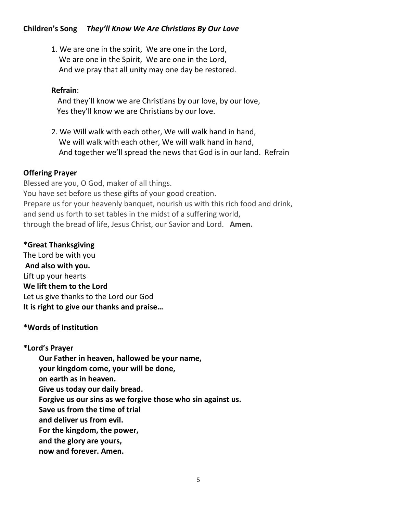## **Children's Song** *They'll Know We Are Christians By Our Love*

1. We are one in the spirit, We are one in the Lord, We are one in the Spirit, We are one in the Lord, And we pray that all unity may one day be restored.

### **Refrain**:

 And they'll know we are Christians by our love, by our love, Yes they'll know we are Christians by our love.

2. We Will walk with each other, We will walk hand in hand, We will walk with each other, We will walk hand in hand, And together we'll spread the news that God is in our land. Refrain

## **Offering Prayer**

Blessed are you, O God, maker of all things. You have set before us these gifts of your good creation. Prepare us for your heavenly banquet, nourish us with this rich food and drink, and send us forth to set tables in the midst of a suffering world, through the bread of life, Jesus Christ, our Savior and Lord. **Amen.**

### **\*Great Thanksgiving**

The Lord be with you **And also with you.** Lift up your hearts **We lift them to the Lord** Let us give thanks to the Lord our God **It is right to give our thanks and praise…** 

#### **\*Words of Institution**

## **\*Lord's Prayer**

**Our Father in heaven, hallowed be your name,**

**your kingdom come, your will be done,**

 **on earth as in heaven.**

 **Give us today our daily bread.**

**Forgive us our sins as we forgive those who sin against us.**

**Save us from the time of trial**

**and deliver us from evil.**

**For the kingdom, the power,**

**and the glory are yours,**

**now and forever. Amen.**